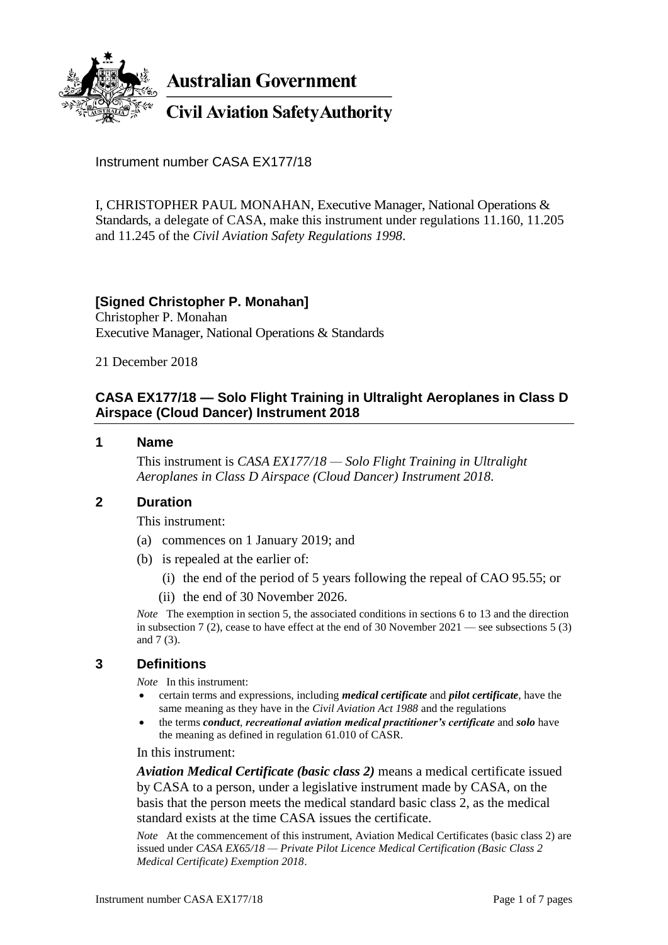

**Australian Government** 

**Civil Aviation Safety Authority** 

Instrument number CASA EX177/18

I, CHRISTOPHER PAUL MONAHAN, Executive Manager, National Operations & Standards, a delegate of CASA, make this instrument under regulations 11.160, 11.205 and 11.245 of the *Civil Aviation Safety Regulations 1998*.

### **[Signed Christopher P. Monahan]**

Christopher P. Monahan Executive Manager, National Operations & Standards

21 December 2018

### **CASA EX177/18 — Solo Flight Training in Ultralight Aeroplanes in Class D Airspace (Cloud Dancer) Instrument 2018**

#### **1 Name**

This instrument is *CASA EX177/18 — Solo Flight Training in Ultralight Aeroplanes in Class D Airspace (Cloud Dancer) Instrument 2018*.

#### **2 Duration**

This instrument:

- (a) commences on 1 January 2019; and
- (b) is repealed at the earlier of:
	- (i) the end of the period of 5 years following the repeal of CAO 95.55; or
	- (ii) the end of 30 November 2026.

*Note* The exemption in section 5, the associated conditions in sections 6 to 13 and the direction in subsection 7 (2), cease to have effect at the end of 30 November  $2021$  — see subsections 5 (3) and 7 (3).

#### **3 Definitions**

*Note* In this instrument:

- certain terms and expressions, including *medical certificate* and *pilot certificate*, have the same meaning as they have in the *Civil Aviation Act 1988* and the regulations
- the terms *conduct*, *recreational aviation medical practitioner's certificate* and *solo* have the meaning as defined in regulation 61.010 of CASR.

In this instrument:

*Aviation Medical Certificate (basic class 2)* means a medical certificate issued by CASA to a person, under a legislative instrument made by CASA, on the basis that the person meets the medical standard basic class 2, as the medical standard exists at the time CASA issues the certificate.

*Note* At the commencement of this instrument, Aviation Medical Certificates (basic class 2) are issued under *CASA EX65/18 — Private Pilot Licence Medical Certification (Basic Class 2 Medical Certificate) Exemption 2018*.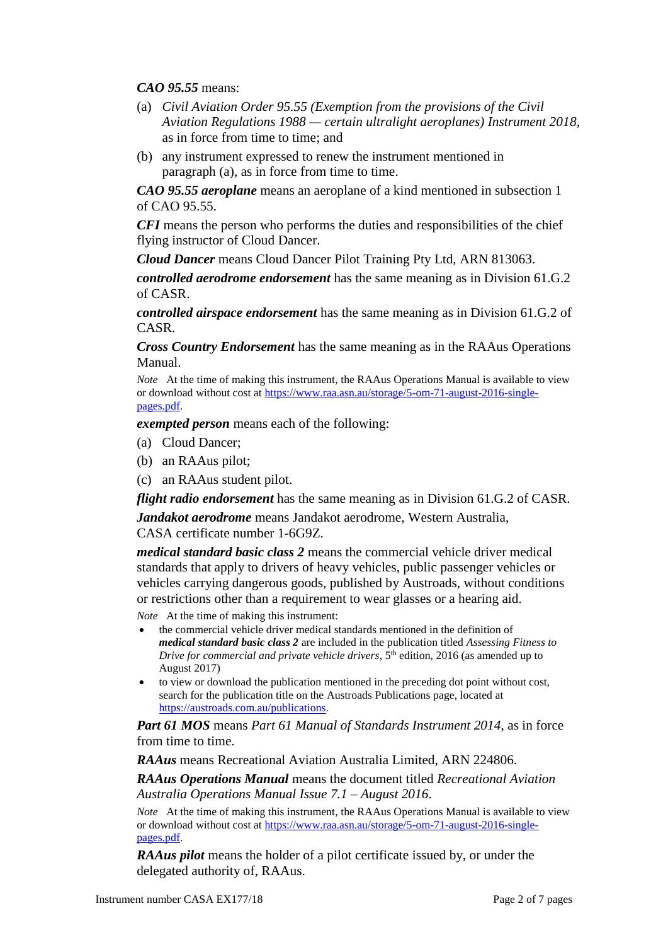*CAO 95.55* means:

- (a) *Civil Aviation Order 95.55 (Exemption from the provisions of the Civil Aviation Regulations 1988 — certain ultralight aeroplanes) Instrument 2018*, as in force from time to time; and
- (b) any instrument expressed to renew the instrument mentioned in paragraph (a), as in force from time to time.

*CAO 95.55 aeroplane* means an aeroplane of a kind mentioned in subsection 1 of CAO 95.55.

*CFI* means the person who performs the duties and responsibilities of the chief flying instructor of Cloud Dancer.

*Cloud Dancer* means Cloud Dancer Pilot Training Pty Ltd, ARN 813063.

*controlled aerodrome endorsement* has the same meaning as in Division 61.G.2 of CASR.

*controlled airspace endorsement* has the same meaning as in Division 61.G.2 of CASR.

*Cross Country Endorsement* has the same meaning as in the RAAus Operations Manual.

*Note* At the time of making this instrument, the RAAus Operations Manual is available to view or download without cost at [https://www.raa.asn.au/storage/5-om-71-august-2016-single](https://www.raa.asn.au/storage/5-om-71-august-2016-single-pages.pdf)[pages.pdf.](https://www.raa.asn.au/storage/5-om-71-august-2016-single-pages.pdf)

*exempted person* means each of the following:

- (a) Cloud Dancer;
- (b) an RAAus pilot;
- (c) an RAAus student pilot.

*flight radio endorsement* has the same meaning as in Division 61.G.2 of CASR.

*Jandakot aerodrome* means Jandakot aerodrome, Western Australia, CASA certificate number 1-6G9Z.

*medical standard basic class 2* means the commercial vehicle driver medical standards that apply to drivers of heavy vehicles, public passenger vehicles or vehicles carrying dangerous goods, published by Austroads, without conditions or restrictions other than a requirement to wear glasses or a hearing aid.

*Note* At the time of making this instrument:

- the commercial vehicle driver medical standards mentioned in the definition of *medical standard basic class 2* are included in the publication titled *Assessing Fitness to Drive for commercial and private vehicle drivers*,  $5<sup>th</sup>$  edition, 2016 (as amended up to August 2017)
- to view or download the publication mentioned in the preceding dot point without cost, search for the publication title on the Austroads Publications page, located at [https://austroads.com.au/publications.](https://austroads.com.au/publications)

*Part 61 MOS* means *Part 61 Manual of Standards Instrument 2014*, as in force from time to time.

*RAAus* means Recreational Aviation Australia Limited, ARN 224806.

*RAAus Operations Manual* means the document titled *Recreational Aviation Australia Operations Manual Issue 7.1 – August 2016*.

*Note* At the time of making this instrument, the RAAus Operations Manual is available to view or download without cost at [https://www.raa.asn.au/storage/5-om-71-august-2016-single](https://www.raa.asn.au/storage/5-om-71-august-2016-single-pages.pdf)[pages.pdf.](https://www.raa.asn.au/storage/5-om-71-august-2016-single-pages.pdf)

*RAAus pilot* means the holder of a pilot certificate issued by, or under the delegated authority of, RAAus.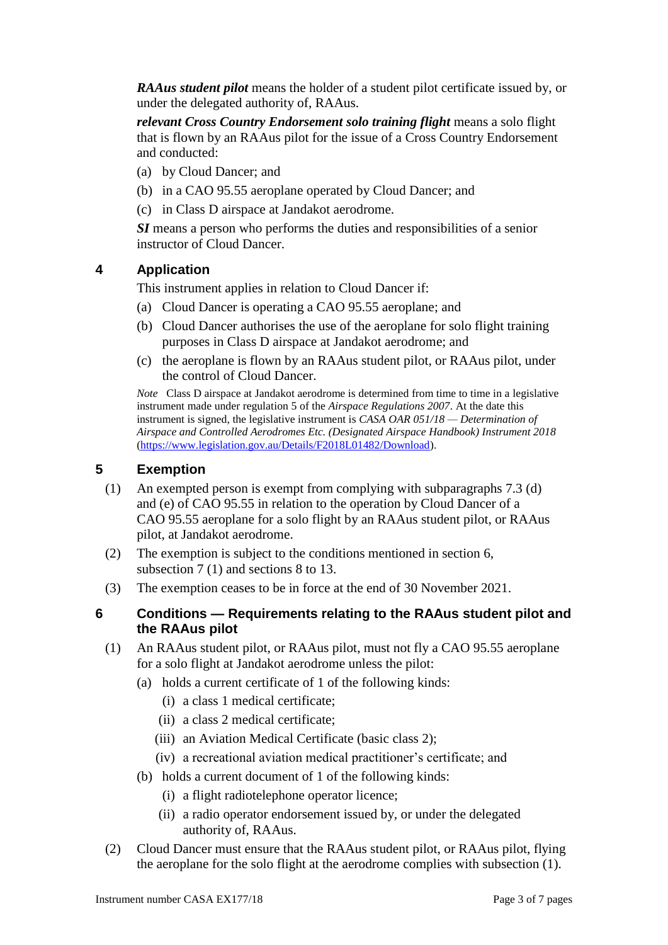*RAAus student pilot* means the holder of a student pilot certificate issued by, or under the delegated authority of, RAAus.

*relevant Cross Country Endorsement solo training flight* means a solo flight that is flown by an RAAus pilot for the issue of a Cross Country Endorsement and conducted:

- (a) by Cloud Dancer; and
- (b) in a CAO 95.55 aeroplane operated by Cloud Dancer; and
- (c) in Class D airspace at Jandakot aerodrome.

*SI* means a person who performs the duties and responsibilities of a senior instructor of Cloud Dancer.

### **4 Application**

This instrument applies in relation to Cloud Dancer if:

- (a) Cloud Dancer is operating a CAO 95.55 aeroplane; and
- (b) Cloud Dancer authorises the use of the aeroplane for solo flight training purposes in Class D airspace at Jandakot aerodrome; and
- (c) the aeroplane is flown by an RAAus student pilot, or RAAus pilot, under the control of Cloud Dancer.

*Note* Class D airspace at Jandakot aerodrome is determined from time to time in a legislative instrument made under regulation 5 of the *Airspace Regulations 2007*. At the date this instrument is signed, the legislative instrument is *CASA OAR 051/18 — Determination of Airspace and Controlled Aerodromes Etc. (Designated Airspace Handbook) Instrument 2018* [\(https://www.legislation.gov.au/Details/F2018L01482/Download\)](https://www.legislation.gov.au/Details/F2018L01482/Download).

### **5 Exemption**

- (1) An exempted person is exempt from complying with subparagraphs 7.3 (d) and (e) of CAO 95.55 in relation to the operation by Cloud Dancer of a CAO 95.55 aeroplane for a solo flight by an RAAus student pilot, or RAAus pilot, at Jandakot aerodrome.
- (2) The exemption is subject to the conditions mentioned in section 6, subsection 7 (1) and sections 8 to 13.
- (3) The exemption ceases to be in force at the end of 30 November 2021.
- **6 Conditions — Requirements relating to the RAAus student pilot and the RAAus pilot**
	- (1) An RAAus student pilot, or RAAus pilot, must not fly a CAO 95.55 aeroplane for a solo flight at Jandakot aerodrome unless the pilot:
		- (a) holds a current certificate of 1 of the following kinds:
			- (i) a class 1 medical certificate;
			- (ii) a class 2 medical certificate;
			- (iii) an Aviation Medical Certificate (basic class 2);
			- (iv) a recreational aviation medical practitioner's certificate; and
		- (b) holds a current document of 1 of the following kinds:
			- (i) a flight radiotelephone operator licence;
			- (ii) a radio operator endorsement issued by, or under the delegated authority of, RAAus.
	- (2) Cloud Dancer must ensure that the RAAus student pilot, or RAAus pilot, flying the aeroplane for the solo flight at the aerodrome complies with subsection (1).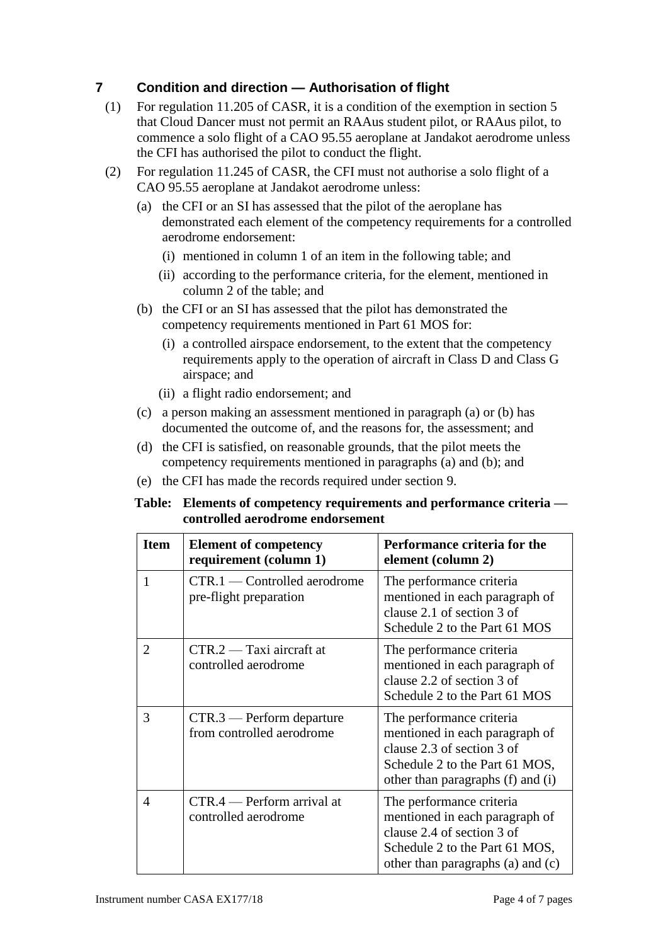# **7 Condition and direction — Authorisation of flight**

- (1) For regulation 11.205 of CASR, it is a condition of the exemption in section 5 that Cloud Dancer must not permit an RAAus student pilot, or RAAus pilot, to commence a solo flight of a CAO 95.55 aeroplane at Jandakot aerodrome unless the CFI has authorised the pilot to conduct the flight.
- (2) For regulation 11.245 of CASR, the CFI must not authorise a solo flight of a CAO 95.55 aeroplane at Jandakot aerodrome unless:
	- (a) the CFI or an SI has assessed that the pilot of the aeroplane has demonstrated each element of the competency requirements for a controlled aerodrome endorsement:
		- (i) mentioned in column 1 of an item in the following table; and
		- (ii) according to the performance criteria, for the element, mentioned in column 2 of the table; and
	- (b) the CFI or an SI has assessed that the pilot has demonstrated the competency requirements mentioned in Part 61 MOS for:
		- (i) a controlled airspace endorsement, to the extent that the competency requirements apply to the operation of aircraft in Class D and Class G airspace; and
		- (ii) a flight radio endorsement; and
	- (c) a person making an assessment mentioned in paragraph (a) or (b) has documented the outcome of, and the reasons for, the assessment; and
	- (d) the CFI is satisfied, on reasonable grounds, that the pilot meets the competency requirements mentioned in paragraphs (a) and (b); and
	- (e) the CFI has made the records required under section 9.

#### **Table: Elements of competency requirements and performance criteria controlled aerodrome endorsement**

| <b>Item</b>                 | <b>Element of competency</b><br>requirement (column 1)   | Performance criteria for the<br>element (column 2)                                                                                                              |
|-----------------------------|----------------------------------------------------------|-----------------------------------------------------------------------------------------------------------------------------------------------------------------|
| 1                           | CTR.1 — Controlled aerodrome<br>pre-flight preparation   | The performance criteria<br>mentioned in each paragraph of<br>clause 2.1 of section 3 of<br>Schedule 2 to the Part 61 MOS                                       |
| $\mathcal{D}_{\mathcal{A}}$ | $CTR.2 - Taxi$ aircraft at<br>controlled aerodrome       | The performance criteria<br>mentioned in each paragraph of<br>clause 2.2 of section 3 of<br>Schedule 2 to the Part 61 MOS                                       |
| 3                           | $CTR.3$ — Perform departure<br>from controlled aerodrome | The performance criteria<br>mentioned in each paragraph of<br>clause 2.3 of section 3 of<br>Schedule 2 to the Part 61 MOS,<br>other than paragraphs (f) and (i) |
| $\overline{4}$              | $CTR.4$ - Perform arrival at<br>controlled aerodrome     | The performance criteria<br>mentioned in each paragraph of<br>clause 2.4 of section 3 of<br>Schedule 2 to the Part 61 MOS,<br>other than paragraphs (a) and (c) |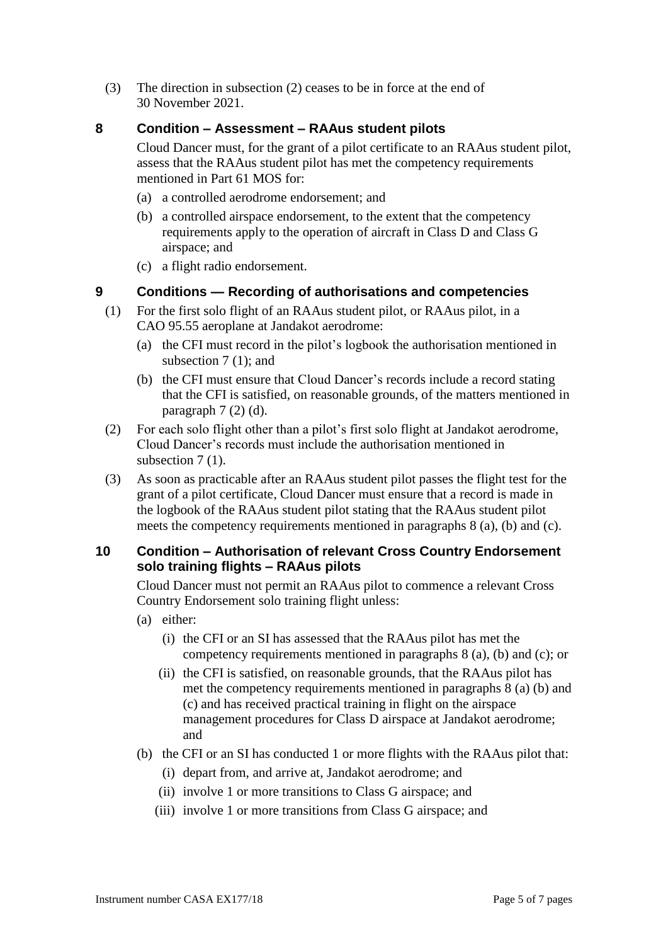(3) The direction in subsection (2) ceases to be in force at the end of 30 November 2021.

### **8 Condition – Assessment – RAAus student pilots**

Cloud Dancer must, for the grant of a pilot certificate to an RAAus student pilot, assess that the RAAus student pilot has met the competency requirements mentioned in Part 61 MOS for:

- (a) a controlled aerodrome endorsement; and
- (b) a controlled airspace endorsement, to the extent that the competency requirements apply to the operation of aircraft in Class D and Class G airspace; and
- (c) a flight radio endorsement.

# **9 Conditions — Recording of authorisations and competencies**

- (1) For the first solo flight of an RAAus student pilot, or RAAus pilot, in a CAO 95.55 aeroplane at Jandakot aerodrome:
	- (a) the CFI must record in the pilot's logbook the authorisation mentioned in subsection 7 (1); and
	- (b) the CFI must ensure that Cloud Dancer's records include a record stating that the CFI is satisfied, on reasonable grounds, of the matters mentioned in paragraph 7 (2) (d).
- (2) For each solo flight other than a pilot's first solo flight at Jandakot aerodrome, Cloud Dancer's records must include the authorisation mentioned in subsection 7(1).
- (3) As soon as practicable after an RAAus student pilot passes the flight test for the grant of a pilot certificate, Cloud Dancer must ensure that a record is made in the logbook of the RAAus student pilot stating that the RAAus student pilot meets the competency requirements mentioned in paragraphs 8 (a), (b) and (c).

### **10 Condition – Authorisation of relevant Cross Country Endorsement solo training flights – RAAus pilots**

Cloud Dancer must not permit an RAAus pilot to commence a relevant Cross Country Endorsement solo training flight unless:

- (a) either:
	- (i) the CFI or an SI has assessed that the RAAus pilot has met the competency requirements mentioned in paragraphs 8 (a), (b) and (c); or
	- (ii) the CFI is satisfied, on reasonable grounds, that the RAAus pilot has met the competency requirements mentioned in paragraphs 8 (a) (b) and (c) and has received practical training in flight on the airspace management procedures for Class D airspace at Jandakot aerodrome; and
- (b) the CFI or an SI has conducted 1 or more flights with the RAAus pilot that:
	- (i) depart from, and arrive at, Jandakot aerodrome; and
	- (ii) involve 1 or more transitions to Class G airspace; and
	- (iii) involve 1 or more transitions from Class G airspace; and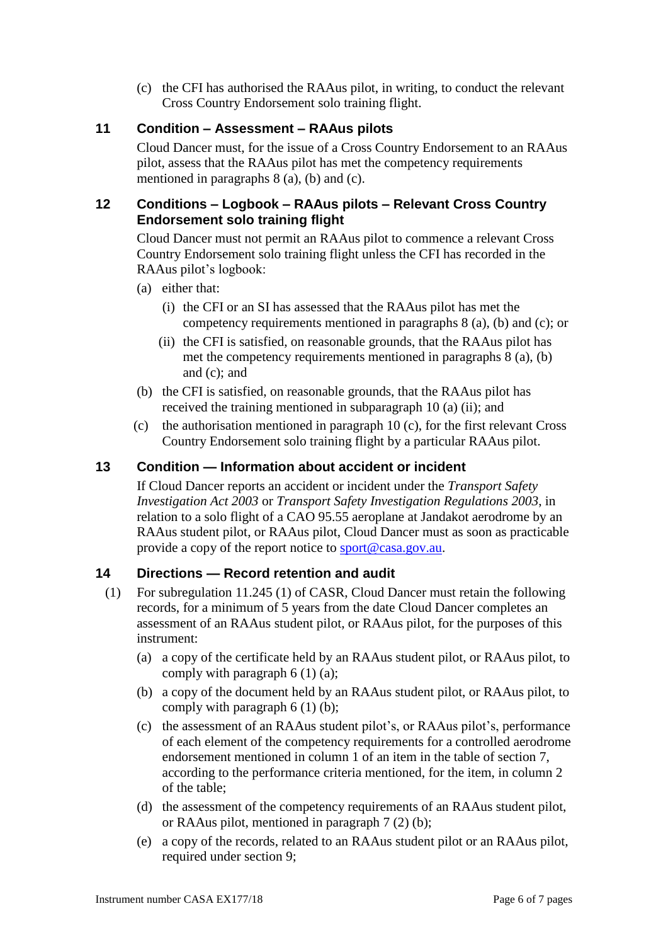(c) the CFI has authorised the RAAus pilot, in writing, to conduct the relevant Cross Country Endorsement solo training flight.

## **11 Condition – Assessment – RAAus pilots**

Cloud Dancer must, for the issue of a Cross Country Endorsement to an RAAus pilot, assess that the RAAus pilot has met the competency requirements mentioned in paragraphs 8 (a), (b) and (c).

### **12 Conditions – Logbook – RAAus pilots – Relevant Cross Country Endorsement solo training flight**

Cloud Dancer must not permit an RAAus pilot to commence a relevant Cross Country Endorsement solo training flight unless the CFI has recorded in the RAAus pilot's logbook:

- (a) either that:
	- (i) the CFI or an SI has assessed that the RAAus pilot has met the competency requirements mentioned in paragraphs 8 (a), (b) and (c); or
	- (ii) the CFI is satisfied, on reasonable grounds, that the RAAus pilot has met the competency requirements mentioned in paragraphs 8 (a), (b) and (c); and
- (b) the CFI is satisfied, on reasonable grounds, that the RAAus pilot has received the training mentioned in subparagraph 10 (a) (ii); and
- (c) the authorisation mentioned in paragraph 10 (c), for the first relevant Cross Country Endorsement solo training flight by a particular RAAus pilot.

## **13 Condition — Information about accident or incident**

If Cloud Dancer reports an accident or incident under the *Transport Safety Investigation Act 2003* or *Transport Safety Investigation Regulations 2003*, in relation to a solo flight of a CAO 95.55 aeroplane at Jandakot aerodrome by an RAAus student pilot, or RAAus pilot, Cloud Dancer must as soon as practicable provide a copy of the report notice to [sport@casa.gov.au.](mailto:sport@casa.gov.au)

### **14 Directions — Record retention and audit**

- (1) For subregulation 11.245 (1) of CASR, Cloud Dancer must retain the following records, for a minimum of 5 years from the date Cloud Dancer completes an assessment of an RAAus student pilot, or RAAus pilot, for the purposes of this instrument:
	- (a) a copy of the certificate held by an RAAus student pilot, or RAAus pilot, to comply with paragraph  $6(1)(a)$ ;
	- (b) a copy of the document held by an RAAus student pilot, or RAAus pilot, to comply with paragraph 6 (1) (b);
	- (c) the assessment of an RAAus student pilot's, or RAAus pilot's, performance of each element of the competency requirements for a controlled aerodrome endorsement mentioned in column 1 of an item in the table of section 7, according to the performance criteria mentioned, for the item, in column 2 of the table;
	- (d) the assessment of the competency requirements of an RAAus student pilot, or RAAus pilot, mentioned in paragraph 7 (2) (b);
	- (e) a copy of the records, related to an RAAus student pilot or an RAAus pilot, required under section 9;